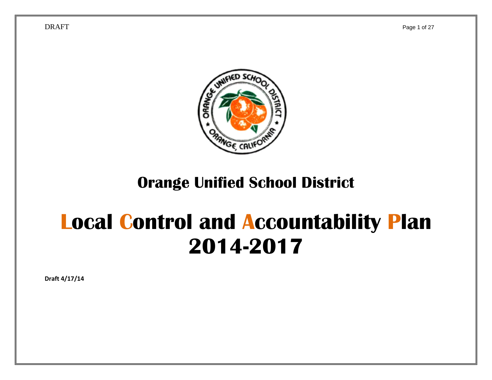

## **Orange Unified School District**

# **Local Control and Accountability Plan 2014-2017**

**Draft 4/17/14**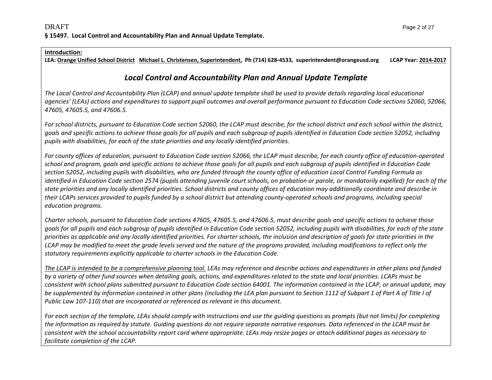#### **Introduction:**

LEA: <u>Orange Unified School District Michael L. Christensen, Superintendent</u>, Ph (714) 628-4533, superintendent@orangeusd.org LCAP Year: <u>2014-2017</u>

### *Local Control and Accountability Plan and Annual Update Template*

The Local Control and Accountability Plan (LCAP) and annual update template shall be used to provide details regarding local educational agencies' (LEAs) actions and expenditures to support pupil outcomes and overall performance pursuant to Education Code sections 52060, 52066, *47605, 47605.5, and 47606.5.*

For school districts, pursuant to Education Code section 52060, the LCAP must describe, for the school district and each school within the district, goals and specific actions to achieve those goals for all pupils and each subgroup of pupils identified in Education Code section 52052, including *pupils with disabilities, for each of the state priorities and any locally identified priorities.*

For county offices of education, pursuant to Education Code section 52066, the LCAP must describe, for each county office of education-operated school and program, goals and specific actions to achieve those goals for all pupils and each subgroup of pupils identified in Education Code section 52052, including pupils with disabilities, who are funded through the county office of education Local Control Funding Formula as identified in Education Code section 2574 (pupils attending juvenile court schools, on probation or parole, or mandatorily expelled) for each of the state priorities and any locally identified priorities. School districts and county offices of education may additionally coordinate and describe in their LCAPs services provided to pupils funded by a school district but attending county-operated schools and programs, including special *education programs.*

Charter schools, pursuant to Education Code sections 47605, 47605.5, and 47606.5, must describe goals and specific actions to achieve those goals for all pupils and each subgroup of pupils identified in Education Code section 52052, including pupils with disabilities, for each of the state priorities as applicable and any locally identified priorities. For charter schools, the inclusion and description of goals for state priorities in the LCAP may be modified to meet the grade levels served and the nature of the programs provided, including modifications to reflect only the *statutory requirements explicitly applicable to charter schools in the Education Code.*

The LCAP is intended to be a comprehensive planning tool. LEAs may reference and describe actions and expenditures in other plans and funded by a variety of other fund sources when detailing goals, actions, and expenditures related to the state and local priorities. LCAPs must be consistent with school plans submitted pursuant to Education Code section 64001. The information contained in the LCAP, or annual update, may be supplemented by information contained in other plans (including the LEA plan pursuant to Section 1112 of Subpart 1 of Part A of Title I of *Public Law 107‐110) that are incorporated or referenced as relevant in this document.*

For each section of the template, LEAs should comply with instructions and use the guiding questions as prompts (but not limits) for completing the information as required by statute. Guiding questions do not require separate narrative responses. Data referenced in the LCAP must be consistent with the school accountability report card where appropriate. LEAs may resize pages or attach additional pages as necessary to *facilitate completion of the LCAP.*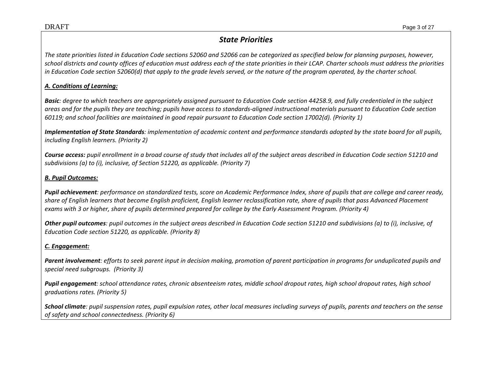### *State Priorities*

The state priorities listed in Education Code sections 52060 and 52066 can be categorized as specified below for planning purposes, however, school districts and county offices of education must address each of the state priorities in their LCAP. Charter schools must address the priorities in Education Code section 52060(d) that apply to the grade levels served, or the nature of the program operated, by the charter school.

#### *A. Conditions of Learning:*

**Basic**: degree to which teachers are appropriately assigned pursuant to Education Code section 44258.9, and fully credentialed in the subject areas and for the pupils they are teaching; pupils have access to standards-aligned instructional materials pursuant to Education Code section 60119; and school facilities are maintained in good repair pursuant to Education Code section 17002(d). (Priority 1)

**Implementation of State Standards**: implementation of academic content and performance standards adopted by the state board for all pupils, *including English learners. (Priority 2)*

**Course access:** pupil enrollment in a broad course of study that includes all of the subject areas described in Education Code section 51210 and *subdivisions (a) to (i), inclusive, of Section 51220, as applicable. (Priority 7)*

#### *B. Pupil Outcomes:*

**Pupil achievement**: performance on standardized tests, score on Academic Performance Index, share of pupils that are college and career ready, share of English learners that become English proficient, English learner reclassification rate, share of pupils that pass Advanced Placement exams with 3 or higher, share of pupils determined prepared for college by the Early Assessment Program. (Priority 4)

**Other pupil outcomes**: pupil outcomes in the subject areas described in Education Code section 51210 and subdivisions (a) to (i), inclusive, of *Education Code section 51220, as applicable. (Priority 8)*

### *C. Engagement:*

**Parent involvement**: efforts to seek parent input in decision making, promotion of parent participation in programs for unduplicated pupils and *special need subgroups. (Priority 3)*

Pupil engagement: school attendance rates, chronic absenteeism rates, middle school dropout rates, high school dropout rates, high school *graduations rates. (Priority 5)*

**School climate**: pupil suspension rates, pupil expulsion rates, other local measures including surveys of pupils, parents and teachers on the sense *of safety and school connectedness. (Priority 6)*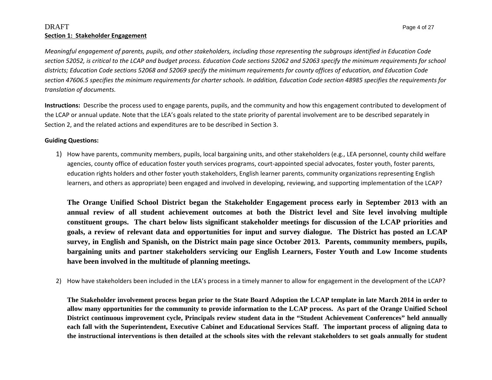#### $\rm DRAFT$  Page 4 of 27  $\rm ^2$ **Section 1: Stakeholder Engagement**

Meaningful engagement of parents, pupils, and other stakeholders, including those representing the subgroups identified in Education Code section 52052, is critical to the LCAP and budget process. Education Code sections 52062 and 52063 specify the minimum requirements for school districts; Education Code sections 52068 and 52069 specify the minimum requirements for county offices of education, and Education Code section 47606.5 specifies the minimum requirements for charter schools. In addition, Education Code section 48985 specifies the requirements for *translation of documents.*

**Instructions:** Describe the process used to engage parents, pupils, and the community and how this engagement contributed to development of the LCAP or annual update. Note that the LEA's goals related to the state priority of parental involvement are to be described separately in Section 2, and the related actions and expenditures are to be described in Section 3.

#### **Guiding Questions:**

1) How have parents, community members, pupils, local bargaining units, and other stakeholders (e.g., LEA personnel, county child welfare agencies, county office of education foster youth services programs, court‐appointed special advocates, foster youth, foster parents, education rights holders and other foster youth stakeholders, English learner parents, community organizations representing English learners, and others as appropriate) been engaged and involved in developing, reviewing, and supporting implementation of the LCAP?

**The Orange Unified School District began the Stakeholder Engagement process early in September 2013 with an annual review of all student achievement outcomes at both the District level and Site level involving multiple constituent groups. The chart below lists significant stakeholder meetings for discussion of the LCAP priorities and goals, a review of relevant data and opportunities for input and survey dialogue. The District has posted an LCAP survey, in English and Spanish, on the District main page since October 2013. Parents, community members, pupils, bargaining units and partner stakeholders servicing our English Learners, Foster Youth and Low Income students have been involved in the multitude of planning meetings.** 

2) How have stakeholders been included in the LEA's process in <sup>a</sup> timely manner to allow for engagement in the development of the LCAP?

**The Stakeholder involvement process began prior to the State Board Adoption the LCAP template in late March 2014 in order to allow many opportunities for the community to provide information to the LCAP process. As part of the Orange Unified School District continuous improvement cycle, Principals review student data in the "Student Achievement Conferences" held annually each fall with the Superintendent, Executive Cabinet and Educational Services Staff. The important process of aligning data to the instructional interventions is then detailed at the schools sites with the relevant stakeholders to set goals annually for student**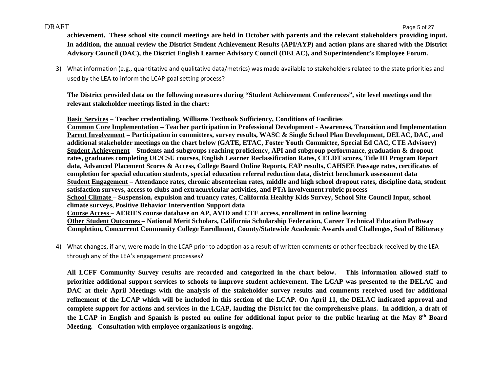**achievement. These school site council meetings are held in October with parents and the relevant stakeholders providing input. In addition, the annual review the District Student Achievement Results (API/AYP) and action plans are shared with the District Advisory Council (DAC), the District English Learner Advisory Council (DELAC), and Superintendent's Employee Forum.** 

3) What information (e.g., quantitative and qualitative data/metrics) was made available to stakeholders related to the state priorities and used by the LEA to inform the LCAP goal setting process?

**The District provided data on the following measures during "Student Achievement Conferences", site level meetings and the relevant stakeholder meetings listed in the chart:** 

**Basic Services – Teacher credentialing, Williams Textbook Sufficiency, Conditions of Facilities Common Core Implementation – Teacher participation in Professional Development - Awareness, Transition and Implementation Parent Involvement – Participation in committees, survey results, WASC & Single School Plan Development, DELAC, DAC, and additional stakeholder meetings on the chart below (GATE, ETAC, Foster Youth Committee, Special Ed CAC, CTE Advisory) Student Achievement – Students and subgroups reaching proficiency, API and subgroup performance, graduation & dropout rates, graduates completing UC/CSU courses, English Learner Reclassification Rates, CELDT scores, Title III Program Report data, Advanced Placement Scores & Access, College Board Online Reports, EAP results, CAHSEE Passage rates, certificates of completion for special education students, special education referral reduction data, district benchmark assessment data Student Engagement – Attendance rates, chronic absenteeism rates, middle and high school dropout rates, discipline data, student satisfaction surveys, access to clubs and extracurricular activities, and PTA involvement rubric process School Climate – Suspension, expulsion and truancy rates, California Healthy Kids Survey, School Site Council Input, school climate surveys, Positive Behavior Intervention Support data Course Access – AERIES course database on AP, AVID and CTE access, enrollment in online learning Other Student Outcomes – National Merit Scholars, California Scholarship Federation, Career Technical Education Pathway Completion, Concurrent Community College Enrollment, County/Statewide Academic Awards and Challenges, Seal of Biliteracy** 

4) What changes, if any, were made in the LCAP prior to adoption as <sup>a</sup> result of written comments or other feedback received by the LEA through any of the LEA's engagement processes?

**All LCFF Community Survey results are recorded and categorized in the chart below. This information allowed staff to prioritize additional support services to schools to improve student achievement. The LCAP was presented to the DELAC and DAC at their April Meetings with the analysis of the stakeholder survey results and comments received used for additional refinement of the LCAP which will be included in this section of the LCAP. On April 11, the DELAC indicated approval and complete support for actions and services in the LCAP, lauding the District for the comprehensive plans. In addition, a draft of**  the LCAP in English and Spanish is posted on online for additional input prior to the public hearing at the May 8<sup>th</sup> Board **Meeting. Consultation with employee organizations is ongoing.**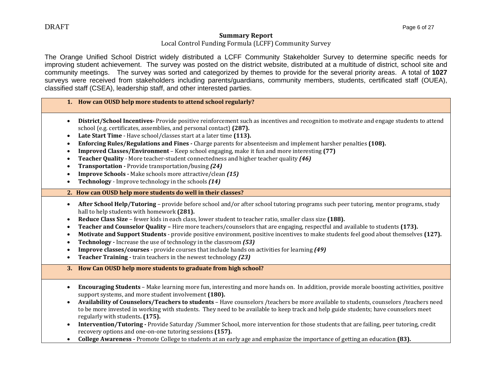#### **Summary Report**

#### Local Control Funding Formula (LCFF) Community Survey

The Orange Unified School District widely distributed a LCFF Community Stakeholder Survey to determine specific needs for improving student achievement. The survey was posted on the district website, distributed at a multitude of district, school site and community meetings. The survey was sorted and categorized by themes to provide for the several priority areas. A total of **1027**  surveys were received from stakeholders including parents/guardians, community members, students, certificated staff (OUEA), classified staff (CSEA), leadership staff, and other interested parties.

#### **1. How can OUSD help more students to attend school regularly?**

- **District/School Incentives** Provide positive reinforcement such as incentives and recognition to motivate and engage students to attend school (e.g. certificates, assemblies, and personal contact) (287).
- Late Start Time Have school/classes start at a later time (113).
- $\bullet$ **Enforcing Rules/Regulations and Fines** - Charge parents for absenteeism and implement harsher penalties (108).
- $\bullet$ **Improved Classes/Environment** – Keep school engaging, make it fun and more interesting (77)
- $\bullet$ **Feacher Quality** *-* More teacher-student connectedness and higher teacher quality (46)
- $\bullet$ **Transportation** *‐* Provide transportation/busing *(24)*
- $\bullet$ **Improve Schools** *‐* Make schools more attractive/clean *(15)*
- $\bullet$ **Technology** *–* Improve technology in the schools **(14)**
- **2. How can OUSD help more students do well in their classes?**
- **After School Help/Tutoring** provide before school and/or after school tutoring programs such peer tutoring, mentor programs, study hall to help students with homework (281).
- **Reduce Class Size** fewer kids in each class, lower student to teacher ratio, smaller class size (188).
- $\bullet$ **Teacher and Counselor Quality** – Hire more teachers/counselors that are engaging, respectful and available to students (173).
- $\bullet$ ● **Motivate and Support Students** - provide positive environment, positive incentives to make students feel good about themselves (127).
- $\bullet$ **Technology ·** Increase the use of technology in the classroom (53)
- $\bullet$ **Improve classes/courses** - provide courses that include hands on activities for learning (49)
- $\bullet$ **• Teacher Training** - train teachers in the newest technology (23)
- **3. How Can OUSD help more students to graduate from high school?**
- Encouraging Students Make learning more fun, interesting and more hands on. In addition, provide morale boosting activities, positive support systems, and more student involvement (180).
- **Availability of Counselors/Teachers to students** Have counselors /teachers be more available to students, counselors /teachers need to be more invested in working with students. They need to be available to keep track and help guide students; have counselors meet regularly with students**. (175).**
- $\bullet$ **Intervention/Tutoring** - Provide Saturday /Summer School, more intervention for those students that are failing, peer tutoring, credit recovery options and one-on-one tutoring sessions (157).
- $\bullet$ **College Awareness •** Promote College to students at an early age and emphasize the importance of getting an education (83).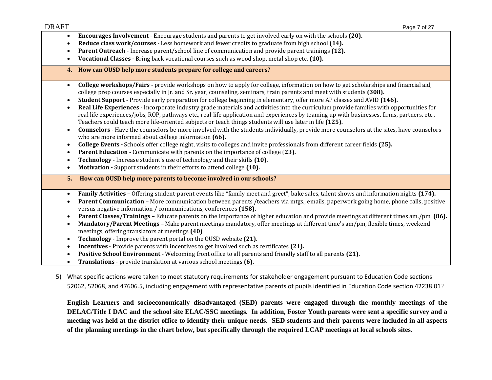- c **Encourages Involvement** - Encourage students and parents to get involved early on with the schools (20).
- $\bullet$ ● Reduce class work/courses - Less homework and fewer credits to graduate from high school (14).
- c **Parent Outreach -** Increase parent/school line of communication and provide parent trainings (12).
- $\bullet$ **Vocational Classes •** Bring back vocational courses such as wood shop, metal shop etc. **(10).**
- **4. How can OUSD help more students prepare for college and careers?**
- $\bullet$ **College workshops/Fairs** - provide workshops on how to apply for college, information on how to get scholarships and financial aid, college prep courses especially in [r. and Sr. year, counseling, seminars, train parents and meet with students **(308).**
- c **Student Support -** Provide early preparation for college beginning in elementary, offer more AP classes and AVID (146).
- c ● **Real Life Experiences** – Incorporate industry grade materials and activities into the curriculum provide families with opportunities for real life experiences/jobs, ROP, pathways etc., real-life application and experiences by teaming up with businesses, firms, partners, etc., Teachers could teach more life-oriented subjects or teach things students will use later in life (125).
- $\bullet$ **Counselors •** Have the counselors be more involved with the students individually, provide more counselors at the sites, have counselors who are more informed about college information (66).
- $\bullet$ **College Events** - Schools offer college night, visits to colleges and invite professionals from different career fields (25).
- c **Parent Education ·** Communicate with parents on the importance of college (23).
- $\bullet$ **Technology -** Increase student's use of technology and their skills (10).
- $\bullet$ **Motivation ·** Support students in their efforts to attend college (10).
- **5.How can OUSD help more parents to become involved in our schools?**
- $\bullet$ **Family Activities** – Offering student-parent events like "family meet and greet", bake sales, talent shows and information nights (174).
- $\bullet$ • Parent Communication – More communication between parents /teachers via mtgs., emails, paperwork going home, phone calls, positive versus negative information / communications, conferences (158).
- $\bullet$ **Parent Classes/Trainings –** Educate parents on the importance of higher education and provide meetings at different times am./pm. **(86).**
- $\bullet$ **Mandatory/Parent Meetings** – Make parent meetings mandatory, offer meetings at different time's am/pm, flexible times, weekend meetings, offering translators at meetings (40).
- c **Technology** - Improve the parent portal on the OUSD website (21).
- c **Incentives** - Provide parents with incentives to get involved such as certificates (21).
- $\bullet$ **• Positive School Environment** – Welcoming front office to all parents and friendly staff to all parents (21).
- $\bullet$ **Translations** - provide translation at various school meetings (6).
- 5) What specific actions were taken to meet statutory requirements for stakeholder engagement pursuant to Education Code sections 52062, 52068, and 47606.5, including engagement with representative parents of pupils identified in Education Code section 42238.01?

**English Learners and socioeconomically disadvantaged (SED) parents were engaged through the monthly meetings of the DELAC/Title I DAC and the school site ELAC/SSC meetings. In addition, Foster Youth parents were sent a specific survey and a meeting was held at the district office to identify their unique needs. SED students and their parents were included in all aspects of the planning meetings in the chart below, but specifically through the required LCAP meetings at local schools sites.**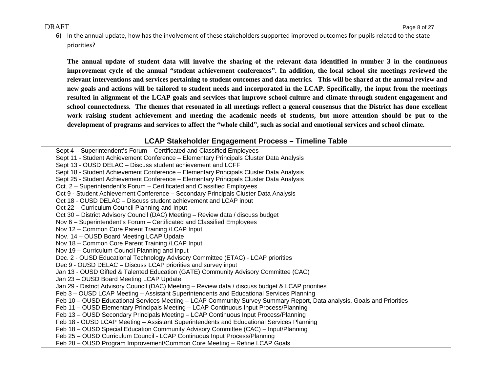6) In the annual update, how has the involvement of these stakeholders supported improved outcomes for pupils related to the state priorities?

**The annual update of student data will involve the sharing of the relevant data identified in number 3 in the continuous improvement cycle of the annual "student achievement conferences". In addition, the local school site meetings reviewed the relevant interventions and services pertaining to student outcomes and data metrics. This will be shared at the annual review and new goals and actions will be tailored to student needs and incorporated in the LCAP. Specifically, the input from the meetings resulted in alignment of the LCAP goals and services that improve school culture and climate through student engagement and school connectedness. The themes that resonated in all meetings reflect a general consensus that the District has done excellent work raising student achievement and meeting the academic needs of students, but more attention should be put to the development of programs and services to affect the "whole child", such as social and emotional services and school climate.** 

#### **LCAP Stakeholder Engagement Process – Timeline Table**

Sept 4 – Superintendent's Forum – Certificated and Classified Employees Sept 11 - Student Achievement Conference – Elementary Principals Cluster Data Analysis Sept 13 - OUSD DELAC – Discuss student achievement and LCFF Sept 18 - Student Achievement Conference – Elementary Principals Cluster Data Analysis Sept 25 - Student Achievement Conference – Elementary Principals Cluster Data Analysis Oct. 2 – Superintendent's Forum – Certificated and Classified Employees Oct 9 - Student Achievement Conference – Secondary Principals Cluster Data Analysis Oct 18 - OUSD DELAC – Discuss student achievement and LCAP input Oct 22 – Curriculum Council Planning and Input Oct 30 – District Advisory Council (DAC) Meeting – Review data / discuss budget Nov 6 – Superintendent's Forum – Certificated and Classified Employees Nov 12 – Common Core Parent Training /LCAP Input Nov. 14 – OUSD Board Meeting LCAP Update Nov 18 – Common Core Parent Training /LCAP Input Nov 19 – Curriculum Council Planning and Input Dec. 2 - OUSD Educational Technology Advisory Committee (ETAC) - LCAP priorities Dec 9 - OUSD DELAC – Discuss LCAP priorities and survey input Jan 13 - OUSD Gifted & Talented Education (GATE) Community Advisory Committee (CAC) Jan 23 – OUSD Board Meeting LCAP Update Jan 29 - District Advisory Council (DAC) Meeting – Review data / discuss budget & LCAP priorities Feb 3 – OUSD LCAP Meeting – Assistant Superintendents and Educational Services Planning Feb 10 – OUSD Educational Services Meeting – LCAP Community Survey Summary Report, Data analysis, Goals and Priorities Feb 11 – OUSD Elementary Principals Meeting – LCAP Continuous Input Process/Planning Feb 13 – OUSD Secondary Principals Meeting – LCAP Continuous Input Process/Planning Feb 18 - OUSD LCAP Meeting – Assistant Superintendents and Educational Services Planning Feb 18 – OUSD Special Education Community Advisory Committee (CAC) – Input/Planning Feb 25 – OUSD Curriculum Council - LCAP Continuous Input Process/Planning Feb 28 – OUSD Program Improvement/Common Core Meeting – Refine LCAP Goals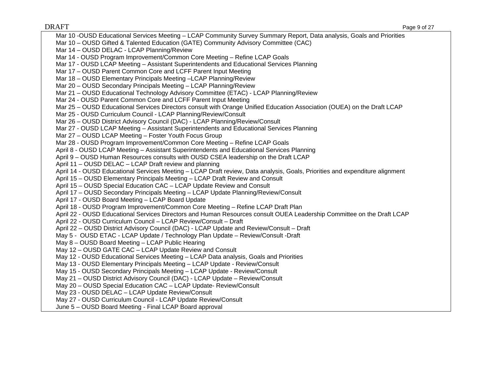$\rm DRAFT$  Page 9 of 27  $\rm ^2$ Mar 10 -OUSD Educational Services Meeting – LCAP Community Survey Summary Report, Data analysis, Goals and Priorities Mar 10 – OUSD Gifted & Talented Education (GATE) Community Advisory Committee (CAC) Mar 14 – OUSD DELAC - LCAP Planning/Review Mar 14 - OUSD Program Improvement/Common Core Meeting – Refine LCAP Goals Mar 17 - OUSD LCAP Meeting – Assistant Superintendents and Educational Services Planning Mar 17 – OUSD Parent Common Core and LCFF Parent Input Meeting Mar 18 – OUSD Elementary Principals Meeting –LCAP Planning/Review Mar 20 – OUSD Secondary Principals Meeting – LCAP Planning/Review Mar 21 – OUSD Educational Technology Advisory Committee (ETAC) - LCAP Planning/Review Mar 24 - OUSD Parent Common Core and LCFF Parent Input Meeting Mar 25 – OUSD Educational Services Directors consult with Orange Unified Education Association (OUEA) on the Draft LCAP Mar 25 - OUSD Curriculum Council - LCAP Planning/Review/Consult Mar 26 – OUSD District Advisory Council (DAC) - LCAP Planning/Review/Consult Mar 27 - OUSD LCAP Meeting – Assistant Superintendents and Educational Services Planning Mar 27 – OUSD LCAP Meeting – Foster Youth Focus Group Mar 28 - OUSD Program Improvement/Common Core Meeting – Refine LCAP Goals April 8 - OUSD LCAP Meeting – Assistant Superintendents and Educational Services Planning April 9 – OUSD Human Resources consults with OUSD CSEA leadership on the Draft LCAP April 11 – OUSD DELAC – LCAP Draft review and planning April 14 - OUSD Educational Services Meeting – LCAP Draft review, Data analysis, Goals, Priorities and expenditure alignment April 15 – OUSD Elementary Principals Meeting – LCAP Draft Review and Consult April 15 – OUSD Special Education CAC – LCAP Update Review and Consult April 17 – OUSD Secondary Principals Meeting – LCAP Update Planning/Review/Consult April 17 - OUSD Board Meeting – LCAP Board Update April 18 - OUSD Program Improvement/Common Core Meeting – Refine LCAP Draft Plan April 22 - OUSD Educational Services Directors and Human Resources consult OUEA Leadership Committee on the Draft LCAP April 22 - OUSD Curriculum Council – LCAP Review/Consult – Draft April 22 – OUSD District Advisory Council (DAC) - LCAP Update and Review/Consult – Draft May 5 - OUSD ETAC - LCAP Update / Technology Plan Update – Review/Consult -Draft May 8 – OUSD Board Meeting – LCAP Public Hearing May 12 – OUSD GATE CAC – LCAP Update Review and Consult May 12 - OUSD Educational Services Meeting – LCAP Data analysis, Goals and Priorities May 13 - OUSD Elementary Principals Meeting – LCAP Update - Review/Consult May 15 - OUSD Secondary Principals Meeting – LCAP Update - Review/Consult May 21 – OUSD District Advisory Council (DAC) - LCAP Update – Review/Consult May 20 – OUSD Special Education CAC – LCAP Update- Review/Consult May 23 - OUSD DELAC – LCAP Update Review/Consult May 27 - OUSD Curriculum Council - LCAP Update Review/Consult June 5 – OUSD Board Meeting - Final LCAP Board approval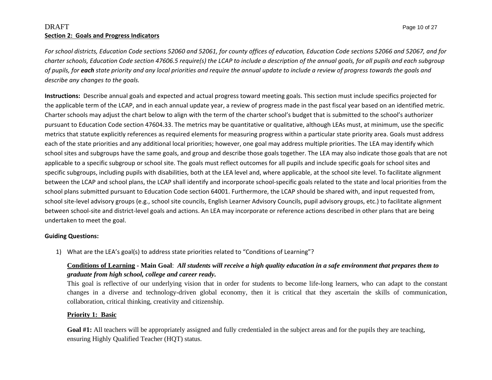#### $\rm DRAFT$  Page 10 of 27  $\rm ^{2}$ **Section 2: Goals and Progress Indicators**

For school districts, Education Code sections 52060 and 52061, for county offices of education, Education Code sections 52066 and 52067, and for charter schools, Education Code section 47606.5 require(s) the LCAP to include a description of the annual goals, for all pupils and each subgroup of pupils, for each state priority and any local priorities and require the annual update to include a review of progress towards the goals and *describe any changes to the goals.*

**Instructions:** Describe annual goals and expected and actual progress toward meeting goals. This section must include specifics projected for the applicable term of the LCAP, and in each annual update year, <sup>a</sup> review of progress made in the past fiscal year based on an identified metric. Charter schools may adjust the chart below to align with the term of the charter school's budget that is submitted to the school's authorizer pursuant to Education Code section 47604.33. The metrics may be quantitative or qualitative, although LEAs must, at minimum, use the specific metrics that statute explicitly references as required elements for measuring progress within <sup>a</sup> particular state priority area. Goals must address each of the state priorities and any additional local priorities; however, one goal may address multiple priorities. The LEA may identify which school sites and subgroups have the same goals, and group and describe those goals together. The LEA may also indicate those goals that are not applicable to <sup>a</sup> specific subgroup or school site. The goals must reflect outcomes for all pupils and include specific goals for school sites and specific subgroups, including pupils with disabilities, both at the LEA level and, where applicable, at the school site level. To facilitate alignment between the LCAP and school plans, the LCAP shall identify and incorporate school‐specific goals related to the state and local priorities from the school plans submitted pursuant to Education Code section 64001. Furthermore, the LCAP should be shared with, and input requested from, school site‐level advisory groups (e.g., school site councils, English Learner Advisory Councils, pupil advisory groups, etc.) to facilitate alignment between school‐site and district‐level goals and actions. An LEA may incorporate or reference actions described in other plans that are being undertaken to meet the goal.

#### **Guiding Questions:**

1) What are the LEA's goal(s) to address state priorities related to "Conditions of Learning"?

### **Conditions of Learning - Main Goal**: *All students will receive a high quality education in a safe environment that prepares them to graduate from high school, college and career ready.*

This goal is reflective of our underlying vision that in order for students to become life-long learners, who can adapt to the constant changes in a diverse and technology-driven global economy, then it is critical that they ascertain the skills of communication, collaboration, critical thinking, creativity and citizenship.

#### **Priority 1: Basic**

Goal #1: All teachers will be appropriately assigned and fully credentialed in the subject areas and for the pupils they are teaching, ensuring Highly Qualified Teacher (HQT) status.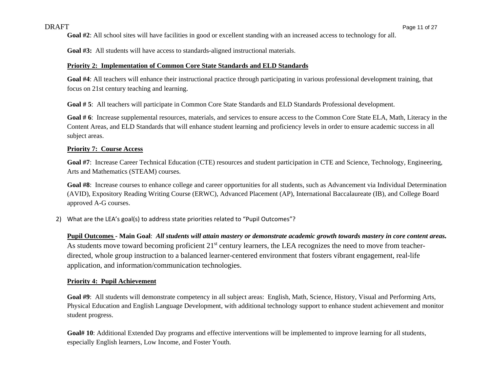**Goal #2**: All school sites will have facilities in good or excellent standing with an increased access to technology for all.

**Goal #3:** All students will have access to standards-aligned instructional materials.

#### **Priority 2: Implementation of Common Core State Standards and ELD Standards**

**Goal #4**: All teachers will enhance their instructional practice through participating in various professional development training, that focus on 21st century teaching and learning.

**Goal # 5**: All teachers will participate in Common Core State Standards and ELD Standards Professional development.

Goal # 6: Increase supplemental resources, materials, and services to ensure access to the Common Core State ELA, Math, Literacy in the Content Areas, and ELD Standards that will enhance student learning and proficiency levels in order to ensure academic success in all subject areas.

#### **Priority 7: Course Access**

**Goal #7**: Increase Career Technical Education (CTE) resources and student participation in CTE and Science, Technology, Engineering, Arts and Mathematics (STEAM) courses.

**Goal #8**: Increase courses to enhance college and career opportunities for all students, such as Advancement via Individual Determination (AVID), Expository Reading Writing Course (ERWC), Advanced Placement (AP), International Baccalaureate (IB), and College Board approved A-G courses.

2) What are the LEA's goal(s) to address state priorities related to "Pupil Outcomes"?

**Pupil Outcomes - Main Goal**: *All students will attain mastery or demonstrate academic growth towards mastery in core content areas.* As students move toward becoming proficient 21<sup>st</sup> century learners, the LEA recognizes the need to move from teacherdirected, whole group instruction to a balanced learner-centered environment that fosters vibrant engagement, real-life application, and information/communication technologies.

#### **Priority 4: Pupil Achievement**

**Goal #9**: All students will demonstrate competency in all subject areas: English, Math, Science, History, Visual and Performing Arts, Physical Education and English Language Development, with additional technology support to enhance student achievement and monitor student progress.

**Goal# 10**: Additional Extended Day programs and effective interventions will be implemented to improve learning for all students, especially English learners, Low Income, and Foster Youth.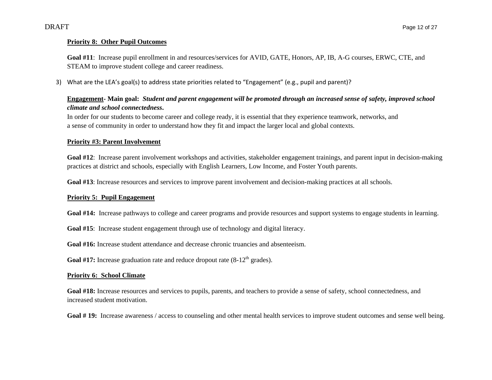#### **Priority 8: Other Pupil Outcomes**

**Goal #11**: Increase pupil enrollment in and resources/services for AVID, GATE, Honors, AP, IB, A-G courses, ERWC, CTE, and STEAM to improve student college and career readiness.

3) What are the LEA's goal(s) to address state priorities related to "Engagement" (e.g., pupil and parent)?

#### **Engagement- Main goal:** *Student and parent engagement will be promoted through an increased sense of safety, improved school climate and school connectedness***.**

In order for our students to become career and college ready, it is essential that they experience teamwork, networks, and a sense of community in order to understand how they fit and impact the larger local and global contexts.

#### **Priority #3: Parent Involvement**

**Goal #12**: Increase parent involvement workshops and activities, stakeholder engagement trainings, and parent input in decision-making practices at district and schools, especially with English Learners, Low Income, and Foster Youth parents.

**Goal #13**: Increase resources and services to improve parent involvement and decision-making practices at all schools.

#### **Priority 5: Pupil Engagement**

**Goal #14:** Increase pathways to college and career programs and provide resources and support systems to engage students in learning.

**Goal #15**: Increase student engagement through use of technology and digital literacy.

**Goal #16:** Increase student attendance and decrease chronic truancies and absenteeism.

**Goal #17:** Increase graduation rate and reduce dropout rate  $(8-12<sup>th</sup>$  grades).

#### **Priority 6: School Climate**

**Goal #18:** Increase resources and services to pupils, parents, and teachers to provide a sense of safety, school connectedness, and increased student motivation.

Goal # 19: Increase awareness / access to counseling and other mental health services to improve student outcomes and sense well being.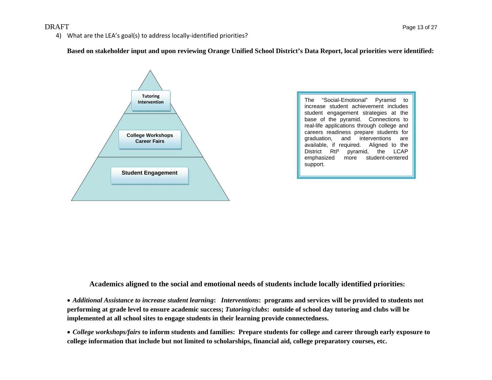4) What are the LEA's goal(s) to address locally-identified priorities?

**Based on stakeholder input and upon reviewing Orange Unified School District's Data Report, local priorities were identified:** 



The "Social-Emotional" Pyramid to increase student achievement includes student engagement strategies at the base of the pyramid. Connections to real-life applications through college and careers readiness prepare students for graduation, and interventions are available, if required. Aligned to the District Rtl<sup>2</sup> pyramid, the LCAP<br>emphasized more student-centered student-centered support.

**Academics aligned to the social and emotional needs of students include locally identified priorities:** 

 *Additional Assistance to increase student learning***:** *Interventions***: programs and services will be provided to students not performing at grade level to ensure academic success;** *Tutoring/clubs***: outside of school day tutoring and clubs will be implemented at all school sites to engage students in their learning provide connectedness.** 

 *College workshops/fairs* **to inform students and families: Prepare students for college and career through early exposure to college information that include but not limited to scholarships, financial aid, college preparatory courses, etc.**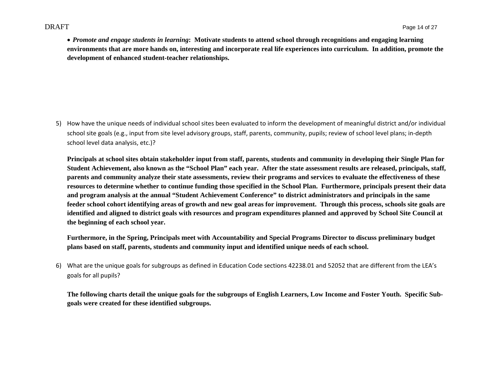*Promote and engage students in learning***: Motivate students to attend school through recognitions and engaging learning environments that are more hands on, interesting and incorporate real life experiences into curriculum. In addition, promote the development of enhanced student-teacher relationships.** 

5) How have the unique needs of individual school sites been evaluated to inform the development of meaningful district and/or individual school site goals (e.g., input from site level advisory groups, staff, parents, community, pupils; review of school level plans; in‐depth school level data analysis, etc.)?

**Principals at school sites obtain stakeholder input from staff, parents, students and community in developing their Single Plan for Student Achievement, also known as the "School Plan" each year. After the state assessment results are released, principals, staff, parents and community analyze their state assessments, review their programs and services to evaluate the effectiveness of these resources to determine whether to continue funding those specified in the School Plan. Furthermore, principals present their data and program analysis at the annual "Student Achievement Conference" to district administrators and principals in the same feeder school cohort identifying areas of growth and new goal areas for improvement. Through this process, schools site goals are identified and aligned to district goals with resources and program expenditures planned and approved by School Site Council at the beginning of each school year.** 

**Furthermore, in the Spring, Principals meet with Accountability and Special Programs Director to discuss preliminary budget plans based on staff, parents, students and community input and identified unique needs of each school.** 

6) What are the unique goals for subgroups as defined in Education Code sections 42238.01 and 52052 that are different from the LEA's goals for all pupils?

**The following charts detail the unique goals for the subgroups of English Learners, Low Income and Foster Youth. Specific Subgoals were created for these identified subgroups.**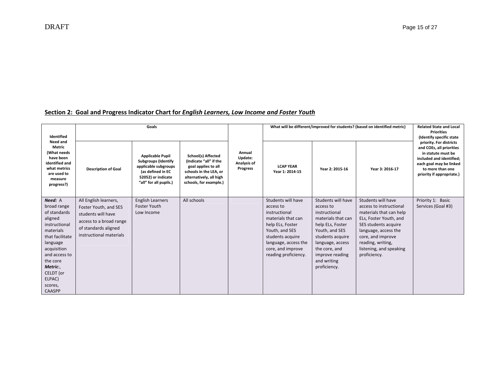| Identified<br>Need and                                                                                                                                                                                  | Goals                                                                                                                                              |                                                                                                                                                    |                                                                                                                                                    |                                              |                                                                                                                                                                                                       | What will be different/improved for students? (based on identified metric)                                                                                                                                              | <b>Related State and Local</b><br><b>Priorities</b><br>(Identify specific state                                                                                                                                                         |                                                                                                                                                                                   |
|---------------------------------------------------------------------------------------------------------------------------------------------------------------------------------------------------------|----------------------------------------------------------------------------------------------------------------------------------------------------|----------------------------------------------------------------------------------------------------------------------------------------------------|----------------------------------------------------------------------------------------------------------------------------------------------------|----------------------------------------------|-------------------------------------------------------------------------------------------------------------------------------------------------------------------------------------------------------|-------------------------------------------------------------------------------------------------------------------------------------------------------------------------------------------------------------------------|-----------------------------------------------------------------------------------------------------------------------------------------------------------------------------------------------------------------------------------------|-----------------------------------------------------------------------------------------------------------------------------------------------------------------------------------|
| <b>Metric</b><br>(What needs<br>have been<br>identified and<br>what metrics<br>are used to<br>measure<br>progress?)<br>Need: A                                                                          | <b>Description of Goal</b>                                                                                                                         | <b>Applicable Pupil</b><br><b>Subgroups (Identify</b><br>applicable subgroups<br>(as defined in EC<br>52052) or indicate<br>"all" for all pupils.) | School(s) Affected<br>(Indicate "all" if the<br>goal applies to all<br>schools in the LEA, or<br>alternatively, all high<br>schools, for example.) | Annual<br>Update:<br>Analysis of<br>Progress | <b>LCAP YEAR</b><br>Year 1: 2014-15                                                                                                                                                                   | Year 2: 2015-16                                                                                                                                                                                                         | Year 3: 2016-17                                                                                                                                                                                                                         | priority. For districts<br>and COEs, all priorities<br>in statute must be<br>included and identified:<br>each goal may be linked<br>to more than one<br>priority if appropriate.) |
| broad range<br>of standards<br>aligned<br>instructional<br>materials<br>that facilitate<br>language<br>acquisition<br>and access to<br>the core<br>Metric:,<br>CELDT (or<br>ELPAC)<br>scores,<br>CAASPP | All English learners,<br>Foster Youth, and SES<br>students will have<br>access to a broad range<br>of standards aligned<br>instructional materials | <b>English Learners</b><br><b>Foster Youth</b><br>Low Income                                                                                       | All schools                                                                                                                                        |                                              | Students will have<br>access to<br>instructional<br>materials that can<br>help ELs, Foster<br>Youth, and SES<br>students acquire<br>language, access the<br>core, and improve<br>reading proficiency. | Students will have<br>access to<br>instructional<br>materials that can<br>help ELs, Foster<br>Youth, and SES<br>students acquire<br>language, access<br>the core, and<br>improve reading<br>and writing<br>proficiency. | Students will have<br>access to instructional<br>materials that can help<br>ELs, Foster Youth, and<br>SES students acquire<br>language, access the<br>core, and improve<br>reading, writing,<br>listening, and speaking<br>proficiency. | Priority 1: Basic<br>Services (Goal #3)                                                                                                                                           |

#### **Section 2: Goal and Progress Indicator Chart for** *English Learners, Low Income and Foster Youth*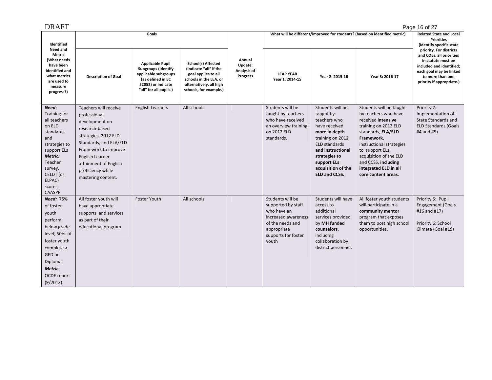| DRAFT                                                                                                                                                                                   |                                                                                                                                                                                                                                            |                                                                                                                                                    |                                                                                                                                                    |                                                     |                                                                                                                                                 |                                                                                                                                                                                                                                |                                                                                                                                                                                                                                                                                  | Page 16 of 27                                                                                                                                                                     |
|-----------------------------------------------------------------------------------------------------------------------------------------------------------------------------------------|--------------------------------------------------------------------------------------------------------------------------------------------------------------------------------------------------------------------------------------------|----------------------------------------------------------------------------------------------------------------------------------------------------|----------------------------------------------------------------------------------------------------------------------------------------------------|-----------------------------------------------------|-------------------------------------------------------------------------------------------------------------------------------------------------|--------------------------------------------------------------------------------------------------------------------------------------------------------------------------------------------------------------------------------|----------------------------------------------------------------------------------------------------------------------------------------------------------------------------------------------------------------------------------------------------------------------------------|-----------------------------------------------------------------------------------------------------------------------------------------------------------------------------------|
| Identified                                                                                                                                                                              |                                                                                                                                                                                                                                            | Goals                                                                                                                                              |                                                                                                                                                    |                                                     |                                                                                                                                                 |                                                                                                                                                                                                                                | What will be different/improved for students? (based on identified metric)                                                                                                                                                                                                       | <b>Related State and Local</b><br><b>Priorities</b><br>(Identify specific state                                                                                                   |
| Need and<br>Metric<br>(What needs<br>have been<br>identified and<br>what metrics<br>are used to<br>measure<br>progress?)                                                                | <b>Description of Goal</b>                                                                                                                                                                                                                 | <b>Applicable Pupil</b><br><b>Subgroups (Identify</b><br>applicable subgroups<br>(as defined in EC<br>52052) or indicate<br>"all" for all pupils.) | School(s) Affected<br>(Indicate "all" if the<br>goal applies to all<br>schools in the LEA, or<br>alternatively, all high<br>schools, for example.) | Annual<br>Update:<br>Analysis of<br><b>Progress</b> | <b>LCAP YEAR</b><br>Year 1: 2014-15                                                                                                             | Year 2: 2015-16                                                                                                                                                                                                                | Year 3: 2016-17                                                                                                                                                                                                                                                                  | priority. For districts<br>and COEs, all priorities<br>in statute must be<br>included and identified;<br>each goal may be linked<br>to more than one<br>priority if appropriate.) |
| Need:<br>Training for<br>all teachers<br>on ELD<br>standards<br>and<br>strategies to<br>support ELs<br>Metric:<br>Teacher<br>survey,<br>CELDT (or<br>ELPAC)<br>scores,<br><b>CAASPP</b> | Teachers will receive<br>professional<br>development on<br>research-based<br>strategies, 2012 ELD<br>Standards, and ELA/ELD<br>Framework to improve<br>English Learner<br>attainment of English<br>proficiency while<br>mastering content. | <b>English Learners</b>                                                                                                                            | All schools                                                                                                                                        |                                                     | Students will be<br>taught by teachers<br>who have received<br>an overview training<br>on 2012 ELD<br>standards.                                | Students will be<br>taught by<br>teachers who<br>have received<br>more in depth<br>training on 2012<br><b>ELD standards</b><br>and instructional<br>strategies to<br>support ELs<br>acquisition of the<br><b>ELD and CCSS.</b> | Students will be taught<br>by teachers who have<br>received intensive<br>training on 2012 ELD<br>standards, ELA/ELD<br>Framework,<br>instructional strategies<br>to support ELs<br>acquisition of the ELD<br>and CCSS, including<br>integrated ELD in all<br>core content areas. | Priority 2:<br>Implementation of<br>State Standards and<br><b>ELD Standards (Goals</b><br>#4 and #5)                                                                              |
| <b>Need: 75%</b><br>of foster<br>youth<br>perform<br>below grade<br>level; 50% of<br>foster youth<br>complete a<br>GED or<br>Diploma<br>Metric:<br>OCDE report<br>(9/2013)              | All foster youth will<br>have appropriate<br>supports and services<br>as part of their<br>educational program                                                                                                                              | <b>Foster Youth</b>                                                                                                                                | All schools                                                                                                                                        |                                                     | Students will be<br>supported by staff<br>who have an<br>increased awareness<br>of the needs and<br>appropriate<br>supports for foster<br>youth | Students will have<br>access to<br>additional<br>services provided<br>by MH funded<br>counselors,<br>including<br>collaboration by<br>district personnel.                                                                      | All foster youth students<br>will participate in a<br>community mentor<br>program that exposes<br>them to post high school<br>opportunities.                                                                                                                                     | Priority 5: Pupil<br><b>Engagement (Goals</b><br>#16 and #17)<br>Priority 6: School<br>Climate (Goal #19)                                                                         |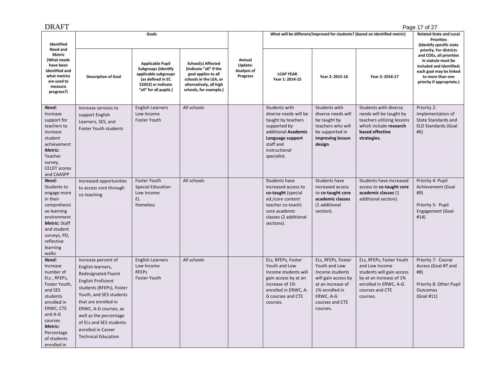|--|--|

| <b>DRAFT</b>                                                                                                                                                                                   |                                                                                                                                                                                                                                                                                                                      |                                                                                                                                                    |                                                                                                                                                    |                                              |                                                                                                                                                                      |                                                                                                                                                                  |                                                                                                                                                            | Page 17 of 27                                                                                                                                                                     |
|------------------------------------------------------------------------------------------------------------------------------------------------------------------------------------------------|----------------------------------------------------------------------------------------------------------------------------------------------------------------------------------------------------------------------------------------------------------------------------------------------------------------------|----------------------------------------------------------------------------------------------------------------------------------------------------|----------------------------------------------------------------------------------------------------------------------------------------------------|----------------------------------------------|----------------------------------------------------------------------------------------------------------------------------------------------------------------------|------------------------------------------------------------------------------------------------------------------------------------------------------------------|------------------------------------------------------------------------------------------------------------------------------------------------------------|-----------------------------------------------------------------------------------------------------------------------------------------------------------------------------------|
| Identified                                                                                                                                                                                     |                                                                                                                                                                                                                                                                                                                      | Goals                                                                                                                                              |                                                                                                                                                    |                                              |                                                                                                                                                                      |                                                                                                                                                                  | What will be different/improved for students? (based on identified metric)                                                                                 | <b>Related State and Local</b><br><b>Priorities</b><br>(Identify specific state                                                                                                   |
| Need and<br>Metric<br>(What needs<br>have been<br>identified and<br>what metrics<br>are used to<br>measure<br>progress?)                                                                       | <b>Description of Goal</b>                                                                                                                                                                                                                                                                                           | <b>Applicable Pupil</b><br><b>Subgroups (Identify</b><br>applicable subgroups<br>(as defined in EC<br>52052) or indicate<br>"all" for all pupils.) | School(s) Affected<br>(Indicate "all" if the<br>goal applies to all<br>schools in the LEA, or<br>alternatively, all high<br>schools, for example.) | Annual<br>Update:<br>Analysis of<br>Progress | <b>LCAP YEAR</b><br>Year 1: 2014-15                                                                                                                                  | Year 2: 2015-16                                                                                                                                                  | Year 3: 2016-17                                                                                                                                            | priority. For districts<br>and COEs, all priorities<br>in statute must be<br>included and identified;<br>each goal may be linked<br>to more than one<br>priority if appropriate.) |
| Need:<br>Increase<br>support for<br>teachers to<br>increase<br>student<br>achievement<br>Metric:<br>Teacher<br>survey,<br><b>CELDT</b> scores<br>and CAASPP                                    | Increase services to<br>support English<br>Learners, SES, and<br><b>Foster Youth students</b>                                                                                                                                                                                                                        | <b>English Learners</b><br>Low Income<br><b>Foster Youth</b>                                                                                       | All schools                                                                                                                                        |                                              | Students with<br>diverse needs will be<br>taught by teachers<br>supported by<br>additional Academic<br>Language support<br>staff and<br>instructional<br>specialist. | Students with<br>diverse needs will<br>be taught by<br>teachers who will<br>be supported in<br>improving lesson<br>design.                                       | Students with diverse<br>needs will be taught by<br>teachers utilizing lessons<br>which include research<br>based effective<br>strategies.                 | Priority 2:<br>Implementation of<br>State Standards and<br><b>ELD Standards (Goal</b><br>#6)                                                                                      |
| Need:<br>Students to<br>engage more<br>in their<br>comprehensi<br>ve learning<br>environment<br><b>Metric: Staff</b><br>and student<br>surveys, PD,<br>reflective<br>learning<br>walks         | Increased opportunities<br>to access core through<br>co-teaching                                                                                                                                                                                                                                                     | <b>Foster Youth</b><br><b>Special Education</b><br>Low Income<br>EL.<br>Homeless                                                                   | All schools                                                                                                                                        |                                              | Students have<br>increased access to<br>co-taught (special<br>ed./core content<br>teacher co-teach)<br>core academic<br>classes (2 additional<br>sections).          | Students have<br>increased access<br>to co-taught core<br>academic classes<br>(1 additional<br>section).                                                         | Students have increased<br>access to co-taught core<br>academic classes (1<br>additional section).                                                         | Priority 4: Pupil<br>Achievement (Goal<br>#9)<br>Priority 5: Pupil<br>Engagement (Goal<br>#14)                                                                                    |
| Need:<br>Increase<br>number of<br>ELs, RFEPs,<br>Foster Youth,<br>and SES<br>students<br>enrolled in<br>ERWC, CTE<br>and A-G<br>courses<br>Metric:<br>Percentage<br>of students<br>enrolled in | Increase percent of<br>English learners,<br><b>Redesignated Fluent</b><br><b>English Proficient</b><br>students (RFEPs), Foster<br>Youth, and SES students<br>that are enrolled in<br>ERWC, A-G courses, as<br>well as the percentage<br>of ELs and SES students<br>enrolled in Career<br><b>Technical Education</b> | <b>English Learners</b><br>Low Income<br><b>RFEPs</b><br><b>Foster Youth</b>                                                                       | All schools                                                                                                                                        |                                              | ELs, RFEPs, Foster<br>Youth and Low<br>Income students will<br>gain access by at an<br>increase of 1%<br>enrolled in ERWC, A-<br>G courses and CTE<br>courses.       | ELs, RFEPs, Foster<br>Youth and Low<br>Income students<br>will gain access by<br>at an increase of<br>1% enrolled in<br>ERWC, A-G<br>courses and CTE<br>courses. | ELs, RFEPs, Foster Youth<br>and Low Income<br>students will gain access<br>by at an increase of 1%<br>enrolled in ERWC, A-G<br>courses and CTE<br>courses. | Priority 7: Course<br>Access (Goal #7 and<br>#8)<br>Priority 8: Other Pupil<br><b>Outcomes</b><br>(Goal #11)                                                                      |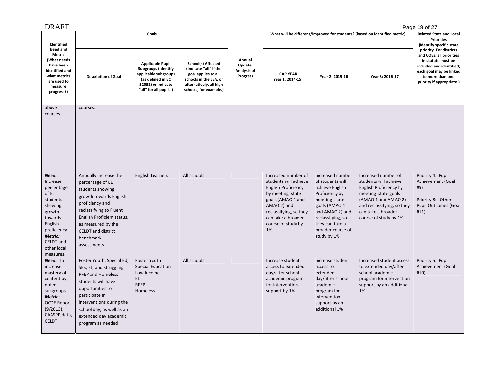| Identified<br>Need and                                                                                                                                             |                                                                                                                                                                                                                                                     | Goals                                                                                                                                              |                                                                                                                                                    | What will be different/improved for students? (based on identified metric) | <b>Related State and Local</b><br><b>Priorities</b><br>(Identify specific state                                                                                                                                |                                                                                                                                                                                                            |                                                                                                                                                                                                   |                                                                                                                                                                                   |
|--------------------------------------------------------------------------------------------------------------------------------------------------------------------|-----------------------------------------------------------------------------------------------------------------------------------------------------------------------------------------------------------------------------------------------------|----------------------------------------------------------------------------------------------------------------------------------------------------|----------------------------------------------------------------------------------------------------------------------------------------------------|----------------------------------------------------------------------------|----------------------------------------------------------------------------------------------------------------------------------------------------------------------------------------------------------------|------------------------------------------------------------------------------------------------------------------------------------------------------------------------------------------------------------|---------------------------------------------------------------------------------------------------------------------------------------------------------------------------------------------------|-----------------------------------------------------------------------------------------------------------------------------------------------------------------------------------|
| Metric<br>(What needs<br>have been<br>identified and<br>what metrics<br>are used to<br>measure<br>progress?)                                                       | <b>Description of Goal</b>                                                                                                                                                                                                                          | <b>Applicable Pupil</b><br><b>Subgroups (Identify</b><br>applicable subgroups<br>(as defined in EC<br>52052) or indicate<br>"all" for all pupils.) | School(s) Affected<br>(Indicate "all" if the<br>goal applies to all<br>schools in the LEA, or<br>alternatively, all high<br>schools, for example.) | Annual<br>Update:<br>Analysis of<br><b>Progress</b>                        | <b>LCAP YEAR</b><br>Year 1: 2014-15                                                                                                                                                                            | Year 2: 2015-16                                                                                                                                                                                            | Year 3: 2016-17                                                                                                                                                                                   | priority. For districts<br>and COEs, all priorities<br>in statute must be<br>included and identified;<br>each goal may be linked<br>to more than one<br>priority if appropriate.) |
| above<br>courses                                                                                                                                                   | courses.                                                                                                                                                                                                                                            |                                                                                                                                                    |                                                                                                                                                    |                                                                            |                                                                                                                                                                                                                |                                                                                                                                                                                                            |                                                                                                                                                                                                   |                                                                                                                                                                                   |
| Need:<br>Increase<br>percentage<br>of EL<br>students<br>showing<br>growth<br>towards<br>English<br>proficiency<br>Metric:<br>CELDT and<br>other local<br>measures. | Annually increase the<br>percentage of EL<br>students showing<br>growth towards English<br>proficiency and<br>reclassifying to Fluent<br>English Proficient status,<br>as measured by the<br><b>CELDT</b> and district<br>benchmark<br>assessments. | <b>English Learners</b>                                                                                                                            | All schools                                                                                                                                        |                                                                            | Increased number of<br>students will achieve<br><b>English Proficiency</b><br>by meeting state<br>goals (AMAO 1 and<br>AMAO 2) and<br>reclassifying, so they<br>can take a broader<br>course of study by<br>1% | Increased number<br>of students will<br>achieve English<br>Proficiency by<br>meeting state<br>goals (AMAO 1<br>and AMAO 2) and<br>reclassifying, so<br>they can take a<br>broader course of<br>study by 1% | Increased number of<br>students will achieve<br>English Proficiency by<br>meeting state goals<br>(AMAO 1 and AMAO 2)<br>and reclassifying, so they<br>can take a broader<br>course of study by 1% | Priority 4: Pupil<br>Achievement (Goal<br>#9)<br>Priority 8: Other<br><b>Pupil Outcomes (Goal</b><br>#11)                                                                         |
| Need: To<br>increase<br>mastery of<br>content by<br>noted<br>subgroups<br>Metric:<br><b>OCDE Report</b><br>$(9/2013)$ ,<br>CAASPP data,<br><b>CELDT</b>            | Foster Youth, Special Ed,<br>SES, EL, and struggling<br><b>RFEP and Homeless</b><br>students will have<br>opportunities to<br>participate in<br>interventions during the<br>school day, as well as an<br>extended day academic<br>program as needed | <b>Foster Youth</b><br><b>Special Education</b><br>Low Income<br>EL.<br><b>RFEP</b><br>Homeless                                                    | All schools                                                                                                                                        |                                                                            | Increase student<br>access to extended<br>day/after school<br>academic program<br>for intervention<br>support by 1%                                                                                            | Increase student<br>access to<br>extended<br>day/after school<br>academic<br>program for<br>intervention<br>support by an<br>additional 1%                                                                 | Increased student access<br>to extended day/after<br>school academic<br>program for intervention<br>support by an additional<br>1%                                                                | Priority 5: Pupil<br>Achievement (Goal<br>#10)                                                                                                                                    |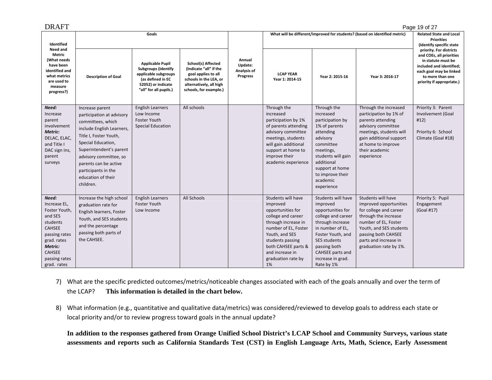| DRAFT                                                                                                                                                               |                                                                                                                                                                                                                                                                                        |                                                                                                                                                    |                                                                                                                                                    |                                              |                                                                                                                                                                                                                                      |                                                                                                                                                                                                                               |                                                                                                                                                                                                                             | Page 19 of 27                                                                                                                                                                     |
|---------------------------------------------------------------------------------------------------------------------------------------------------------------------|----------------------------------------------------------------------------------------------------------------------------------------------------------------------------------------------------------------------------------------------------------------------------------------|----------------------------------------------------------------------------------------------------------------------------------------------------|----------------------------------------------------------------------------------------------------------------------------------------------------|----------------------------------------------|--------------------------------------------------------------------------------------------------------------------------------------------------------------------------------------------------------------------------------------|-------------------------------------------------------------------------------------------------------------------------------------------------------------------------------------------------------------------------------|-----------------------------------------------------------------------------------------------------------------------------------------------------------------------------------------------------------------------------|-----------------------------------------------------------------------------------------------------------------------------------------------------------------------------------|
| Identified<br>Need and                                                                                                                                              |                                                                                                                                                                                                                                                                                        | Goals                                                                                                                                              |                                                                                                                                                    |                                              |                                                                                                                                                                                                                                      |                                                                                                                                                                                                                               | What will be different/improved for students? (based on identified metric)                                                                                                                                                  | <b>Related State and Local</b><br><b>Priorities</b><br>(Identify specific state                                                                                                   |
| Metric<br>(What needs<br>have been<br>identified and<br>what metrics<br>are used to<br>measure<br>progress?)                                                        | <b>Description of Goal</b>                                                                                                                                                                                                                                                             | <b>Applicable Pupil</b><br><b>Subgroups (Identify</b><br>applicable subgroups<br>(as defined in EC<br>52052) or indicate<br>"all" for all pupils.) | School(s) Affected<br>(Indicate "all" if the<br>goal applies to all<br>schools in the LEA, or<br>alternatively, all high<br>schools, for example.) | Annual<br>Update:<br>Analysis of<br>Progress | <b>LCAP YEAR</b><br>Year 1: 2014-15                                                                                                                                                                                                  | Year 2: 2015-16                                                                                                                                                                                                               | Year 3: 2016-17                                                                                                                                                                                                             | priority. For districts<br>and COEs, all priorities<br>in statute must be<br>included and identified;<br>each goal may be linked<br>to more than one<br>priority if appropriate.) |
| Need:<br>Increase<br>parent<br>involvement<br>Metric:<br>DELAC, ELAC,<br>and Title I<br>DAC sign ins,<br>parent<br>surveys                                          | Increase parent<br>participation at advisory<br>committees, which<br>include English Learners,<br>Title I, Foster Youth,<br>Special Education,<br>Superintendent's parent<br>advisory committee, so<br>parents can be active<br>participants in the<br>education of their<br>children. | <b>English Learners</b><br>Low Income<br>Foster Youth<br><b>Special Education</b>                                                                  | All schools                                                                                                                                        |                                              | Through the<br>increased<br>participation by 1%<br>of parents attending<br>advisory committee<br>meetings, students<br>will gain additional<br>support at home to<br>improve their<br>academic experience                            | Through the<br>increased<br>participation by<br>1% of parents<br>attending<br>advisory<br>committee<br>meetings,<br>students will gain<br>additional<br>support at home<br>to improve their<br>academic<br>experience         | Through the increased<br>participation by 1% of<br>parents attending<br>advisory committee<br>meetings, students will<br>gain additional support<br>at home to improve<br>their academic<br>experience                      | Priority 3: Parent<br>Involvement (Goal<br>#12)<br>Priority 6: School<br>Climate (Goal #18)                                                                                       |
| Need:<br>Increase EL,<br>Foster Youth,<br>and SES<br>students<br><b>CAHSEE</b><br>passing rates<br>grad. rates<br>Metric:<br>CAHSEE<br>passing rates<br>grad. rates | Increase the high school<br>graduation rate for<br>English learners, Foster<br>Youth, and SES students<br>and the percentage<br>passing both parts of<br>the CAHSEE.                                                                                                                   | <b>English Learners</b><br><b>Foster Youth</b><br>Low Income                                                                                       | All Schools                                                                                                                                        |                                              | Students will have<br>improved<br>opportunities for<br>college and career<br>through increase in<br>number of EL, Foster<br>Youth, and SES<br>students passing<br>both CAHSEE parts &<br>and increase in<br>graduation rate by<br>1% | Students will have<br>improved<br>opportunities for<br>college and career<br>through increase<br>in number of EL,<br>Foster Youth, and<br>SES students<br>passing both<br>CAHSEE parts and<br>increase in grad.<br>Rate by 1% | Students will have<br>improved opportunities<br>for college and career<br>through the increase<br>number of EL, Foster<br>Youth, and SES students<br>passing both CAHSEE<br>parts and increase in<br>graduation rate by 1%. | Priority 5: Pupil<br>Engagement<br>(Goal #17)                                                                                                                                     |

- 7) What are the specific predicted outcomes/metrics/noticeable changes associated with each of the goals annually and over the term of the LCAP? This information is detailed in the chart below.
- 8) What information (e.g., quantitative and qualitative data/metrics) was considered/reviewed to develop goals to address each state or local priority and/or to review progress toward goals in the annual update?

**In addition to the responses gathered from Orange Unified School District's LCAP School and Community Surveys, various state assessments and reports such as California Standards Test (CST) in English Language Arts, Math, Science, Early Assessment**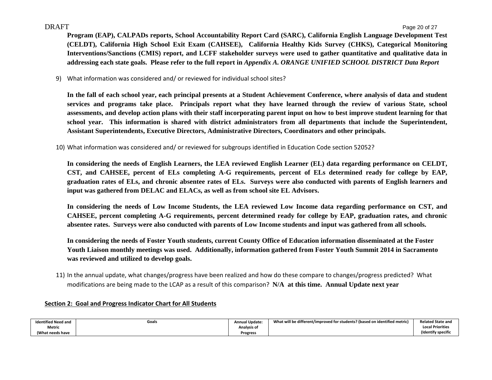**Program (EAP), CALPADs reports, School Accountability Report Card (SARC), California English Language Development Test (CELDT), California High School Exit Exam (CAHSEE), California Healthy Kids Survey (CHKS), Categorical Monitoring Interventions/Sanctions (CMIS) report, and LCFF stakeholder surveys were used to gather quantitative and qualitative data in addressing each state goals. Please refer to the full report in** *Appendix A. ORANGE UNIFIED SCHOOL DISTRICT Data Report*

9) What information was considered and/ or reviewed for individual school sites?

**In the fall of each school year, each principal presents at a Student Achievement Conference, where analysis of data and student services and programs take place. Principals report what they have learned through the review of various State, school assessments, and develop action plans with their staff incorporating parent input on how to best improve student learning for that school year. This information is shared with district administrators from all departments that include the Superintendent, Assistant Superintendents, Executive Directors, Administrative Directors, Coordinators and other principals.** 

10) What information was considered and/ or reviewed for subgroups identified in Education Code section 52052?

**In considering the needs of English Learners, the LEA reviewed English Learner (EL) data regarding performance on CELDT, CST, and CAHSEE, percent of ELs completing A-G requirements, percent of ELs determined ready for college by EAP, graduation rates of ELs, and chronic absentee rates of ELs. Surveys were also conducted with parents of English learners and input was gathered from DELAC and ELACs, as well as from school site EL Advisors.** 

**In considering the needs of Low Income Students, the LEA reviewed Low Income data regarding performance on CST, and CAHSEE, percent completing A-G requirements, percent determined ready for college by EAP, graduation rates, and chronic absentee rates. Surveys were also conducted with parents of Low Income students and input was gathered from all schools.** 

**In considering the needs of Foster Youth students, current County Office of Education information disseminated at the Foster Youth Liaison monthly meetings was used. Additionally, information gathered from Foster Youth Summit 2014 in Sacramento was reviewed and utilized to develop goals.** 

11) In the annual update, what changes/progress have been realized and how do these compare to changes/progress predicted? What modifications are being made to the LCAP as <sup>a</sup> result of this comparison? **N/A at this time. Annual Update next year**

#### **Section 2: Goal and Progress Indicator Chart for All Students**

| <b>Identified Need and</b> | Goals | <b>Annual Update:</b> | What will be different/improved for students? (based on identified metric) | <b>Related State and</b> |
|----------------------------|-------|-----------------------|----------------------------------------------------------------------------|--------------------------|
| Metric                     |       | Analysis of           |                                                                            | <b>Local Priorities</b>  |
| (What needs have           |       | <b>Progress</b>       |                                                                            | (Identify specific       |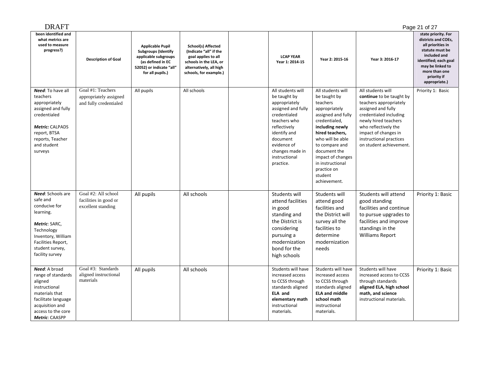| <b>DRAFT</b>                                                                                                                                                                 |                                                                       |                                                                                                                                                    |                                                                                                                                                    |                                                                                                                                                                                                                      |                                                                                                                                                                                                                                                                                      |                                                                                                                                                                                                                                                       | Page 21 of 27                                                                                                                                                                                    |
|------------------------------------------------------------------------------------------------------------------------------------------------------------------------------|-----------------------------------------------------------------------|----------------------------------------------------------------------------------------------------------------------------------------------------|----------------------------------------------------------------------------------------------------------------------------------------------------|----------------------------------------------------------------------------------------------------------------------------------------------------------------------------------------------------------------------|--------------------------------------------------------------------------------------------------------------------------------------------------------------------------------------------------------------------------------------------------------------------------------------|-------------------------------------------------------------------------------------------------------------------------------------------------------------------------------------------------------------------------------------------------------|--------------------------------------------------------------------------------------------------------------------------------------------------------------------------------------------------|
| been identified and<br>what metrics are<br>used to measure<br>progress?)                                                                                                     | <b>Description of Goal</b>                                            | <b>Applicable Pupil</b><br><b>Subgroups (Identify</b><br>applicable subgroups<br>(as defined in EC<br>52052) or indicate "all"<br>for all pupils.) | School(s) Affected<br>(Indicate "all" if the<br>goal applies to all<br>schools in the LEA, or<br>alternatively, all high<br>schools, for example.) | <b>LCAP YEAR</b><br>Year 1: 2014-15                                                                                                                                                                                  | Year 2: 2015-16                                                                                                                                                                                                                                                                      | Year 3: 2016-17                                                                                                                                                                                                                                       | state priority. For<br>districts and COEs,<br>all priorities in<br>statute must be<br>included and<br>identified; each goal<br>may be linked to<br>more than one<br>priority if<br>appropriate.) |
| <b>Need:</b> To have all<br>teachers<br>appropriately<br>assigned and fully<br>credentialed<br>Metric: CALPADS<br>report, BTSA<br>reports, Teacher<br>and student<br>surveys | Goal #1: Teachers<br>appropriately assigned<br>and fully credentialed | All pupils                                                                                                                                         | All schools                                                                                                                                        | All students will<br>be taught by<br>appropriately<br>assigned and fully<br>credentialed<br>teachers who<br>reflectively<br>identify and<br>document<br>evidence of<br>changes made in<br>instructional<br>practice. | All students will<br>be taught by<br>teachers<br>appropriately<br>assigned and fully<br>credentialed,<br>including newly<br>hired teachers,<br>who will be able<br>to compare and<br>document the<br>impact of changes<br>in instructional<br>practice on<br>student<br>achievement. | All students will<br>continue to be taught by<br>teachers appropriately<br>assigned and fully<br>credentialed including<br>newly hired teachers<br>who reflectively the<br>impact of changes in<br>instructional practices<br>on student achievement. | Priority 1: Basic                                                                                                                                                                                |
| Need: Schools are<br>safe and<br>conducive for<br>learning.<br>Metric: SARC,<br>Technology<br>Inventory, William<br>Facilities Report,<br>student survey,<br>facility survey | Goal #2: All school<br>facilities in good or<br>excellent standing    | All pupils                                                                                                                                         | All schools                                                                                                                                        | Students will<br>attend facilities<br>in good<br>standing and<br>the District is<br>considering<br>pursuing a<br>modernization<br>bond for the<br>high schools                                                       | Students will<br>attend good<br>facilities and<br>the District will<br>survey all the<br>facilities to<br>determine<br>modernization<br>needs                                                                                                                                        | Students will attend<br>good standing<br>facilities and continue<br>to pursue upgrades to<br>facilities and improve<br>standings in the<br><b>Williams Report</b>                                                                                     | Priority 1: Basic                                                                                                                                                                                |
| Need: A broad<br>range of standards<br>aligned<br>instructional<br>materials that<br>facilitate language<br>acquisition and<br>access to the core<br>Metric: CAASPP          | Goal #3: Standards<br>aligned instructional<br>materials              | All pupils                                                                                                                                         | All schools                                                                                                                                        | Students will have<br>increased access<br>to CCSS through<br>standards aligned<br>ELA and<br>elementary math<br>instructional<br>materials.                                                                          | Students will have<br>increased access<br>to CCSS through<br>standards aligned<br><b>ELA and middle</b><br>school math<br>instructional<br>materials.                                                                                                                                | Students will have<br>increased access to CCSS<br>through standards<br>aligned ELA, high school<br>math, and science<br>instructional materials.                                                                                                      | Priority 1: Basic                                                                                                                                                                                |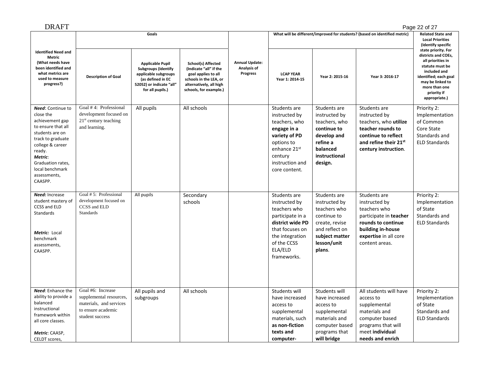| DRAFT                                                                                                                                                                                                                              |                                                                                                                  |                                                                                                                                                    |                                                                                                                                                    |                                                  |                                                                                                                                                                      |                                                                                                                                             |                                                                                                                                                               | Page 22 of 27                                                                                                                                                                                    |
|------------------------------------------------------------------------------------------------------------------------------------------------------------------------------------------------------------------------------------|------------------------------------------------------------------------------------------------------------------|----------------------------------------------------------------------------------------------------------------------------------------------------|----------------------------------------------------------------------------------------------------------------------------------------------------|--------------------------------------------------|----------------------------------------------------------------------------------------------------------------------------------------------------------------------|---------------------------------------------------------------------------------------------------------------------------------------------|---------------------------------------------------------------------------------------------------------------------------------------------------------------|--------------------------------------------------------------------------------------------------------------------------------------------------------------------------------------------------|
|                                                                                                                                                                                                                                    |                                                                                                                  | Goals                                                                                                                                              |                                                                                                                                                    |                                                  |                                                                                                                                                                      |                                                                                                                                             | What will be different/improved for students? (based on identified metric)                                                                                    | <b>Related State and</b><br><b>Local Priorities</b><br>(Identify specific                                                                                                                        |
| <b>Identified Need and</b><br>Metric<br>(What needs have<br>been identified and<br>what metrics are<br>used to measure<br>progress?)                                                                                               | <b>Description of Goal</b>                                                                                       | <b>Applicable Pupil</b><br><b>Subgroups (Identify</b><br>applicable subgroups<br>(as defined in EC<br>52052) or indicate "all"<br>for all pupils.) | School(s) Affected<br>(Indicate "all" if the<br>goal applies to all<br>schools in the LEA, or<br>alternatively, all high<br>schools, for example.) | <b>Annual Update:</b><br>Analysis of<br>Progress | <b>LCAP YEAR</b><br>Year 1: 2014-15                                                                                                                                  | Year 2: 2015-16                                                                                                                             | Year 3: 2016-17                                                                                                                                               | state priority. For<br>districts and COEs,<br>all priorities in<br>statute must be<br>included and<br>identified; each goal<br>may be linked to<br>more than one<br>priority if<br>appropriate.) |
| <b>Need:</b> Continue to<br>close the<br>achievement gap<br>to ensure that all<br>students are on<br>track to graduate<br>college & career<br>ready.<br>Metric:<br>Graduation rates,<br>local benchmark<br>assessments,<br>CAASPP. | Goal #4: Professional<br>development focused on<br>$21st$ century teaching<br>and learning.                      | All pupils                                                                                                                                         | All schools                                                                                                                                        |                                                  | Students are<br>instructed by<br>teachers, who<br>engage in a<br>variety of PD<br>options to<br>enhance 21st<br>century<br>instruction and<br>core content.          | Students are<br>instructed by<br>teachers, who<br>continue to<br>develop and<br>refine a<br>balanced<br>instructional<br>design.            | Students are<br>instructed by<br>teachers, who utilize<br>teacher rounds to<br>continue to reflect<br>and refine their 21st<br>century instruction.           | Priority 2:<br>Implementation<br>of Common<br>Core State<br>Standards and<br><b>ELD Standards</b>                                                                                                |
| Need: Increase<br>student mastery of<br>CCSS and ELD<br><b>Standards</b><br>Metric: Local<br>benchmark<br>assessments,<br>CAASPP.                                                                                                  | Goal $# 5$ : Professional<br>development focused on<br>CCSS and ELD<br>Standards                                 | All pupils                                                                                                                                         | Secondary<br>schools                                                                                                                               |                                                  | Students are<br>instructed by<br>teachers who<br>participate in a<br>district wide PD<br>that focuses on<br>the integration<br>of the CCSS<br>ELA/ELD<br>frameworks. | Students are<br>instructed by<br>teachers who<br>continue to<br>create, revise<br>and reflect on<br>subject matter<br>lesson/unit<br>plans. | Students are<br>instructed by<br>teachers who<br>participate in teacher<br>rounds to continue<br>building in-house<br>expertise in all core<br>content areas. | Priority 2:<br>Implementation<br>of State<br>Standards and<br><b>ELD Standards</b>                                                                                                               |
| Need: Enhance the<br>ability to provide a<br>balanced<br>instructional<br>framework within<br>all core classes.<br>Metric: CAASP,<br>CELDT scores,                                                                                 | Goal #6: Increase<br>supplemental resources,<br>materials, and services<br>to ensure academic<br>student success | All pupils and<br>subgroups                                                                                                                        | All schools                                                                                                                                        |                                                  | Students will<br>have increased<br>access to<br>supplemental<br>materials, such<br>as non-fiction<br>texts and<br>computer-                                          | Students will<br>have increased<br>access to<br>supplemental<br>materials and<br>computer based<br>programs that<br>will bridge             | All students will have<br>access to<br>supplemental<br>materials and<br>computer based<br>programs that will<br>meet individual<br>needs and enrich           | Priority 2:<br>Implementation<br>of State<br>Standards and<br><b>ELD Standards</b>                                                                                                               |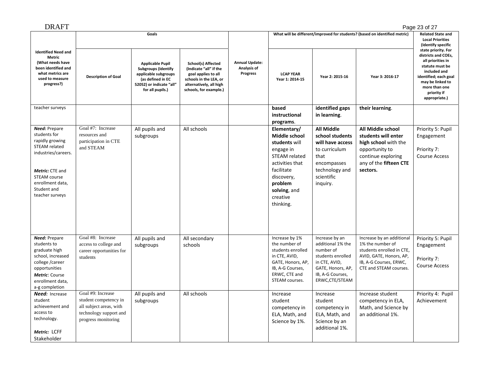| <b>DRAFT</b>                                                                                                                                                                      |                                                                                                                                                                                                                                                                                                                                                                                            |                                     |                          |                 |                                                                                                                                                                                                  |                                                                                                                                                   |                                                                                                                                                           | Page 23 of 27                                                          |
|-----------------------------------------------------------------------------------------------------------------------------------------------------------------------------------|--------------------------------------------------------------------------------------------------------------------------------------------------------------------------------------------------------------------------------------------------------------------------------------------------------------------------------------------------------------------------------------------|-------------------------------------|--------------------------|-----------------|--------------------------------------------------------------------------------------------------------------------------------------------------------------------------------------------------|---------------------------------------------------------------------------------------------------------------------------------------------------|-----------------------------------------------------------------------------------------------------------------------------------------------------------|------------------------------------------------------------------------|
|                                                                                                                                                                                   | Goals                                                                                                                                                                                                                                                                                                                                                                                      |                                     |                          |                 |                                                                                                                                                                                                  | What will be different/improved for students? (based on identified metric)                                                                        | <b>Related State and</b><br><b>Local Priorities</b><br>(Identify specific                                                                                 |                                                                        |
| <b>Identified Need and</b><br><b>Metric</b><br>(What needs have<br>been identified and<br>what metrics are<br>used to measure<br>progress?)                                       | <b>Annual Update:</b><br><b>Applicable Pupil</b><br>School(s) Affected<br>Analysis of<br><b>Subgroups (Identify</b><br>(Indicate "all" if the<br>Progress<br>applicable subgroups<br>goal applies to all<br><b>Description of Goal</b><br>(as defined in EC<br>schools in the LEA, or<br>52052) or indicate "all"<br>alternatively, all high<br>for all pupils.)<br>schools, for example.) | <b>LCAP YEAR</b><br>Year 1: 2014-15 | Year 2: 2015-16          | Year 3: 2016-17 | state priority. For<br>districts and COEs,<br>all priorities in<br>statute must be<br>included and<br>identified; each goal<br>may be linked to<br>more than one<br>priority if<br>appropriate.) |                                                                                                                                                   |                                                                                                                                                           |                                                                        |
| teacher surveys                                                                                                                                                                   |                                                                                                                                                                                                                                                                                                                                                                                            |                                     |                          |                 | based<br>instructional<br>programs.                                                                                                                                                              | identified gaps<br>in learning.                                                                                                                   | their learning.                                                                                                                                           |                                                                        |
| Need: Prepare<br>students for<br>rapidly growing<br>STEAM related<br>industries/careers.<br>Metric: CTE and<br>STEAM course<br>enrollment data,<br>Student and<br>teacher surveys | Goal #7: Increase<br>resources and<br>participation in CTE<br>and STEAM                                                                                                                                                                                                                                                                                                                    | All pupils and<br>subgroups         | All schools              |                 | Elementary/<br>Middle school<br>students will<br>engage in<br><b>STEAM</b> related<br>activities that<br>facilitate<br>discovery,<br>problem<br>solving, and<br>creative<br>thinking.            | <b>All Middle</b><br>school students<br>will have access<br>to curriculum<br>that<br>encompasses<br>technology and<br>scientific<br>inquiry.      | All Middle school<br>students will enter<br>high school with the<br>opportunity to<br>continue exploring<br>any of the fifteen CTE<br>sectors.            | Priority 5: Pupil<br>Engagement<br>Priority 7:<br><b>Course Access</b> |
| <b>Need: Prepare</b><br>students to<br>graduate high<br>school, increased<br>college /career<br>opportunities<br>Metric: Course<br>enrollment data,<br>a-g completion             | Goal #8: Increase<br>access to college and<br>career opportunities for<br>students                                                                                                                                                                                                                                                                                                         | All pupils and<br>subgroups         | All secondary<br>schools |                 | Increase by 1%<br>the number of<br>students enrolled<br>in CTE, AVID,<br>GATE, Honors, AP,<br>IB, A-G Courses,<br>ERWC, CTE and<br>STEAM courses.                                                | Increase by an<br>additional 1% the<br>number of<br>students enrolled<br>in CTE, AVID,<br>GATE, Honors, AP,<br>IB, A-G Courses,<br>ERWC,CTE/STEAM | Increase by an additional<br>1% the number of<br>students enrolled in CTE,<br>AVID, GATE, Honors, AP,<br>IB, A-G Courses, ERWC,<br>CTE and STEAM courses. | Priority 5: Pupil<br>Engagement<br>Priority 7:<br><b>Course Access</b> |
| Need: Increase<br>student<br>achievement and<br>access to<br>technology.<br>Metric: LCFF<br>Stakeholder                                                                           | Goal #9: Increase<br>student competency in<br>all subject areas, with<br>technology support and<br>progress monitoring                                                                                                                                                                                                                                                                     | All pupils and<br>subgroups         | All schools              |                 | Increase<br>student<br>competency in<br>ELA, Math, and<br>Science by 1%.                                                                                                                         | Increase<br>student<br>competency in<br>ELA, Math, and<br>Science by an<br>additional 1%.                                                         | Increase student<br>competency in ELA,<br>Math, and Science by<br>an additional 1%.                                                                       | Priority 4: Pupil<br>Achievement                                       |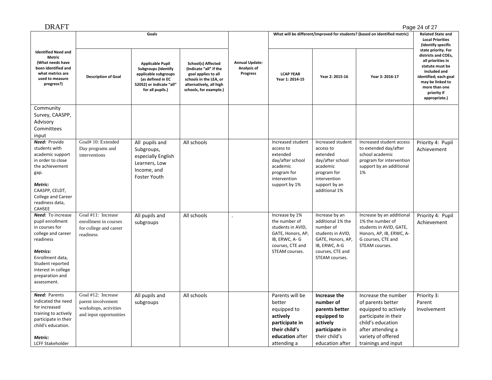| <b>DRAFT</b>                                                                                                                                                                                                   |                                                                                              |                                                                                                                                                    |                                                                                                                                                    |                                                  |                                                                                                                                  |                                                                                                                                                   |                                                                                                                                                                                 | Page 24 of 27                                                                                                                                                                                    |
|----------------------------------------------------------------------------------------------------------------------------------------------------------------------------------------------------------------|----------------------------------------------------------------------------------------------|----------------------------------------------------------------------------------------------------------------------------------------------------|----------------------------------------------------------------------------------------------------------------------------------------------------|--------------------------------------------------|----------------------------------------------------------------------------------------------------------------------------------|---------------------------------------------------------------------------------------------------------------------------------------------------|---------------------------------------------------------------------------------------------------------------------------------------------------------------------------------|--------------------------------------------------------------------------------------------------------------------------------------------------------------------------------------------------|
|                                                                                                                                                                                                                |                                                                                              | Goals                                                                                                                                              |                                                                                                                                                    |                                                  |                                                                                                                                  |                                                                                                                                                   | What will be different/improved for students? (based on identified metric)                                                                                                      | <b>Related State and</b><br><b>Local Priorities</b><br>(Identify specific                                                                                                                        |
| <b>Identified Need and</b><br><b>Metric</b><br>(What needs have<br>been identified and<br>what metrics are<br>used to measure<br>progress?)                                                                    | <b>Description of Goal</b>                                                                   | <b>Applicable Pupil</b><br><b>Subgroups (Identify</b><br>applicable subgroups<br>(as defined in EC<br>52052) or indicate "all"<br>for all pupils.) | School(s) Affected<br>(Indicate "all" if the<br>goal applies to all<br>schools in the LEA, or<br>alternatively, all high<br>schools, for example.) | <b>Annual Update:</b><br>Analysis of<br>Progress | <b>LCAP YEAR</b><br>Year 1: 2014-15                                                                                              | Year 2: 2015-16                                                                                                                                   | Year 3: 2016-17                                                                                                                                                                 | state priority. For<br>districts and COEs,<br>all priorities in<br>statute must be<br>included and<br>identified; each goal<br>may be linked to<br>more than one<br>priority if<br>appropriate.) |
| Community<br>Survey, CAASPP,<br>Advisory<br>Committees<br>input                                                                                                                                                |                                                                                              |                                                                                                                                                    |                                                                                                                                                    |                                                  |                                                                                                                                  |                                                                                                                                                   |                                                                                                                                                                                 |                                                                                                                                                                                                  |
| Need: Provide<br>students with<br>academic support<br>in order to close<br>the achievement<br>gap.<br>Metric:<br>CAASPP, CELDT,<br>College and Career<br>readiness data,<br>CAHSEE                             | Goal# 10: Extended<br>Day programs and<br>interventions                                      | All pupils and<br>Subgroups,<br>especially English<br>Learners, Low<br>Income, and<br><b>Foster Youth</b>                                          | All schools                                                                                                                                        |                                                  | Increased student<br>access to<br>extended<br>day/after school<br>academic<br>program for<br>intervention<br>support by 1%       | Increased student<br>access to<br>extended<br>day/after school<br>academic<br>program for<br>intervention<br>support by an<br>additional 1%       | Increased student access<br>to extended day/after<br>school academic<br>program for intervention<br>support by an additional<br>1%                                              | Priority 4: Pupil<br>Achievement                                                                                                                                                                 |
| Need: To increase<br>pupil enrollment<br>in courses for<br>college and career<br>readiness<br><b>Metrics:</b><br>Enrollment data,<br>Student reported<br>interest in college<br>preparation and<br>assessment. | Goal #11: Increase<br>enrollment in courses<br>for college and career<br>readiness           | All pupils and<br>subgroups                                                                                                                        | All schools                                                                                                                                        |                                                  | Increase by 1%<br>the number of<br>students in AVID,<br>GATE, Honors, AP,<br>IB, ERWC, A-G<br>courses, CTE and<br>STEAM courses. | Increase by an<br>additional 1% the<br>number of<br>students in AVID,<br>GATE, Honors, AP,<br>IB, ERWC, A-G<br>courses, CTE and<br>STEAM courses. | Increase by an additional<br>1% the number of<br>students in AVID, GATE,<br>Honors, AP, IB, ERWC, A-<br>G courses, CTE and<br>STEAM courses.                                    | Priority 4: Pupil<br>Achievement                                                                                                                                                                 |
| <b>Need:</b> Parents<br>indicated the need<br>for increased<br>training to actively<br>participate in their<br>child's education.<br>Metric:<br>LCFF Stakeholder                                               | Goal #12: Increase<br>parent involvement<br>workshops, activities<br>and input opportunities | All pupils and<br>subgroups                                                                                                                        | All schools                                                                                                                                        |                                                  | Parents will be<br>better<br>equipped to<br>actively<br>participate in<br>their child's<br>education after<br>attending a        | Increase the<br>number of<br>parents better<br>equipped to<br>actively<br>participate in<br>their child's<br>education after                      | Increase the number<br>of parents better<br>equipped to actively<br>participate in their<br>child's education<br>after attending a<br>variety of offered<br>trainings and input | Priority 3:<br>Parent<br>Involvement                                                                                                                                                             |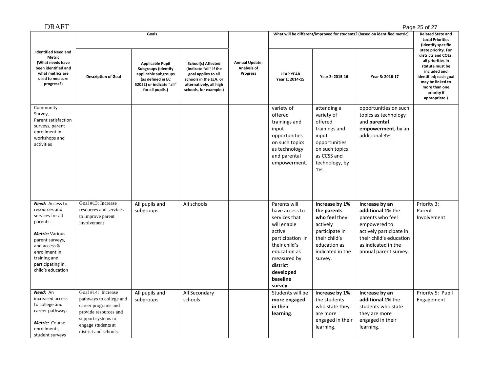| <b>DRAFT</b>                                                                                                                                                                                     |                                                                                                                                                                    |                                                                                                                                                    |                                                                                                                                                    |                                                         |                                                                                                                                                                                              |                                                                                                                                              |                                                                                                                                                                               | Page 25 of 27                                                                                                                                                                                    |
|--------------------------------------------------------------------------------------------------------------------------------------------------------------------------------------------------|--------------------------------------------------------------------------------------------------------------------------------------------------------------------|----------------------------------------------------------------------------------------------------------------------------------------------------|----------------------------------------------------------------------------------------------------------------------------------------------------|---------------------------------------------------------|----------------------------------------------------------------------------------------------------------------------------------------------------------------------------------------------|----------------------------------------------------------------------------------------------------------------------------------------------|-------------------------------------------------------------------------------------------------------------------------------------------------------------------------------|--------------------------------------------------------------------------------------------------------------------------------------------------------------------------------------------------|
|                                                                                                                                                                                                  |                                                                                                                                                                    | Goals                                                                                                                                              |                                                                                                                                                    |                                                         |                                                                                                                                                                                              |                                                                                                                                              | What will be different/improved for students? (based on identified metric)                                                                                                    | <b>Related State and</b><br><b>Local Priorities</b><br>(Identify specific                                                                                                                        |
| <b>Identified Need and</b><br>Metric<br>(What needs have<br>been identified and<br>what metrics are<br>used to measure<br>progress?)                                                             | <b>Description of Goal</b>                                                                                                                                         | <b>Applicable Pupil</b><br><b>Subgroups (Identify</b><br>applicable subgroups<br>(as defined in EC<br>52052) or indicate "all"<br>for all pupils.) | School(s) Affected<br>(Indicate "all" if the<br>goal applies to all<br>schools in the LEA, or<br>alternatively, all high<br>schools, for example.) | <b>Annual Update:</b><br>Analysis of<br><b>Progress</b> | <b>LCAP YEAR</b><br>Year 1: 2014-15                                                                                                                                                          | Year 2: 2015-16                                                                                                                              | Year 3: 2016-17                                                                                                                                                               | state priority. For<br>districts and COEs,<br>all priorities in<br>statute must be<br>included and<br>identified; each goal<br>may be linked to<br>more than one<br>priority if<br>appropriate.) |
| Community<br>Survey,<br>Parent satisfaction<br>surveys, parent<br>enrollment in<br>workshops and<br>activities                                                                                   |                                                                                                                                                                    |                                                                                                                                                    |                                                                                                                                                    |                                                         | variety of<br>offered<br>trainings and<br>input<br>opportunities<br>on such topics<br>as technology<br>and parental<br>empowerment.                                                          | attending a<br>variety of<br>offered<br>trainings and<br>input<br>opportunities<br>on such topics<br>as CCSS and<br>technology, by<br>1%.    | opportunities on such<br>topics as technology<br>and parental<br>empowerment, by an<br>additional 3%.                                                                         |                                                                                                                                                                                                  |
| Need: Access to<br>resources and<br>services for all<br>parents.<br>Metric: Various<br>parent surveys,<br>and access &<br>enrollment in<br>training and<br>participating in<br>child's education | Goal #13: Increase<br>resources and services<br>to improve parent<br>involvement                                                                                   | All pupils and<br>subgroups                                                                                                                        | All schools                                                                                                                                        |                                                         | Parents will<br>have access to<br>services that<br>will enable<br>active<br>participation in<br>their child's<br>education as<br>measured by<br>district<br>developed<br>baseline<br>survey. | Increase by 1%<br>the parents<br>who feel they<br>actively<br>participate in<br>their child's<br>education as<br>indicated in the<br>survey. | Increase by an<br>additional 1% the<br>parents who feel<br>empowered to<br>actively participate in<br>their child's education<br>as indicated in the<br>annual parent survey. | Priority 3:<br>Parent<br>Involvement                                                                                                                                                             |
| Need: An<br>increased access<br>to college and<br>career pathways<br>Metric: Course<br>enrollments,<br>student surveys                                                                           | Goal #14: Increase<br>pathways to college and<br>career programs and<br>provide resources and<br>support systems to<br>engage students at<br>district and schools. | All pupils and<br>subgroups                                                                                                                        | All Secondary<br>schools                                                                                                                           |                                                         | Students will be<br>more engaged<br>in their<br>learning.                                                                                                                                    | Increase by 1%<br>the students<br>who state they<br>are more<br>engaged in their<br>learning.                                                | Increase by an<br>additional 1% the<br>students who state<br>they are more<br>engaged in their<br>learning.                                                                   | Priority 5: Pupil<br>Engagement                                                                                                                                                                  |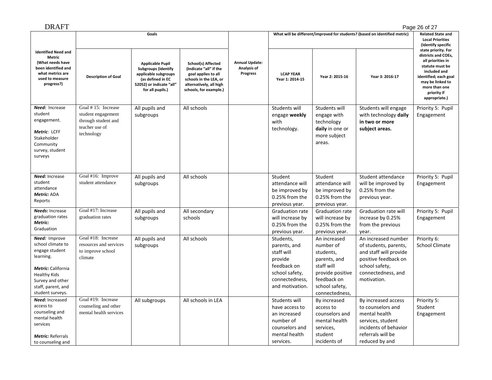| <b>DRAFT</b>                                                                                                                                                                 |                                                                                                 |                                                                                                                                                    |                                                                                                                                                    |                                                  |                                                                                                                          |                                                                                                                                             |                                                                                                                                                       | Page 26 of 27                                                                                                                                                                                    |
|------------------------------------------------------------------------------------------------------------------------------------------------------------------------------|-------------------------------------------------------------------------------------------------|----------------------------------------------------------------------------------------------------------------------------------------------------|----------------------------------------------------------------------------------------------------------------------------------------------------|--------------------------------------------------|--------------------------------------------------------------------------------------------------------------------------|---------------------------------------------------------------------------------------------------------------------------------------------|-------------------------------------------------------------------------------------------------------------------------------------------------------|--------------------------------------------------------------------------------------------------------------------------------------------------------------------------------------------------|
|                                                                                                                                                                              | Goals                                                                                           |                                                                                                                                                    |                                                                                                                                                    |                                                  | What will be different/improved for students? (based on identified metric)                                               | <b>Related State and</b><br><b>Local Priorities</b><br>(Identify specific                                                                   |                                                                                                                                                       |                                                                                                                                                                                                  |
| <b>Identified Need and</b><br><b>Metric</b><br>(What needs have<br>been identified and<br>what metrics are<br>used to measure<br>progress?)                                  | <b>Description of Goal</b>                                                                      | <b>Applicable Pupil</b><br><b>Subgroups (Identify</b><br>applicable subgroups<br>(as defined in EC<br>52052) or indicate "all"<br>for all pupils.) | School(s) Affected<br>(Indicate "all" if the<br>goal applies to all<br>schools in the LEA, or<br>alternatively, all high<br>schools, for example.) | <b>Annual Update:</b><br>Analysis of<br>Progress | <b>LCAP YEAR</b><br>Year 1: 2014-15                                                                                      | Year 2: 2015-16                                                                                                                             | Year 3: 2016-17                                                                                                                                       | state priority. For<br>districts and COEs,<br>all priorities in<br>statute must be<br>included and<br>identified; each goal<br>may be linked to<br>more than one<br>priority if<br>appropriate.) |
| Need: Increase<br>student<br>engagement.<br>Metric: LCFF<br>Stakeholder<br>Community<br>survey, student<br>surveys                                                           | Goal #15: Increase<br>student engagement<br>through student and<br>teacher use of<br>technology | All pupils and<br>subgroups                                                                                                                        | All schools                                                                                                                                        |                                                  | Students will<br>engage weekly<br>with<br>technology.                                                                    | Students will<br>engage with<br>technology<br>daily in one or<br>more subject<br>areas.                                                     | Students will engage<br>with technology daily<br>in two or more<br>subject areas.                                                                     | Priority 5: Pupil<br>Engagement                                                                                                                                                                  |
| Need: Increase<br>student<br>attendance<br>Metric: ADA<br>Reports                                                                                                            | Goal #16: Improve<br>student attendance                                                         | All pupils and<br>subgroups                                                                                                                        | All schools                                                                                                                                        |                                                  | Student<br>attendance will<br>be improved by<br>0.25% from the<br>previous year.                                         | Student<br>attendance will<br>be improved by<br>0.25% from the<br>previous year.                                                            | Student attendance<br>will be improved by<br>0.25% from the<br>previous year.                                                                         | Priority 5: Pupil<br>Engagement                                                                                                                                                                  |
| Needs: Increase<br>graduation rates<br>Metric:<br>Graduation                                                                                                                 | Goal #17: Increase<br>graduation rates                                                          | All pupils and<br>subgroups                                                                                                                        | All secondary<br>schools                                                                                                                           |                                                  | Graduation rate<br>will increase by<br>0.25% from the<br>previous year.                                                  | <b>Graduation rate</b><br>will increase by<br>0.25% from the<br>previous year.                                                              | <b>Graduation rate will</b><br>increase by 0.25%<br>from the previous<br>year.                                                                        | Priority 5: Pupil<br>Engagement                                                                                                                                                                  |
| Need: Improve<br>school climate to<br>engage student<br>learning.<br>Metric: California<br><b>Healthy Kids</b><br>Survey and other<br>staff, parent, and<br>student surveys. | Goal #18: Increase<br>resources and services<br>to improve school<br>climate                    | All pupils and<br>subgroups                                                                                                                        | All schools                                                                                                                                        |                                                  | Students,<br>parents, and<br>staff will<br>provide<br>feedback on<br>school safety,<br>connectedness,<br>and motivation. | An increased<br>number of<br>students,<br>parents, and<br>staff will<br>provide positive<br>feedback on<br>school safety,<br>connectedness, | An increased number<br>of students, parents,<br>and staff will provide<br>positive feedback on<br>school safety,<br>connectedness, and<br>motivation. | Priority 6:<br><b>School Climate</b>                                                                                                                                                             |
| Need: Increased<br>access to<br>counseling and<br>mental health<br>services<br><b>Metric: Referrals</b><br>to counseling and                                                 | Goal #19: Increase<br>counseling and other<br>mental health services                            | All subgroups                                                                                                                                      | All schools in LEA                                                                                                                                 |                                                  | Students will<br>have access to<br>an increased<br>number of<br>counselors and<br>mental health<br>services.             | By increased<br>access to<br>counselors and<br>mental health<br>services,<br>student<br>incidents of                                        | By increased access<br>to counselors and<br>mental health<br>services, student<br>incidents of behavior<br>referrals will be<br>reduced by and        | Priority 5:<br>Student<br>Engagement                                                                                                                                                             |